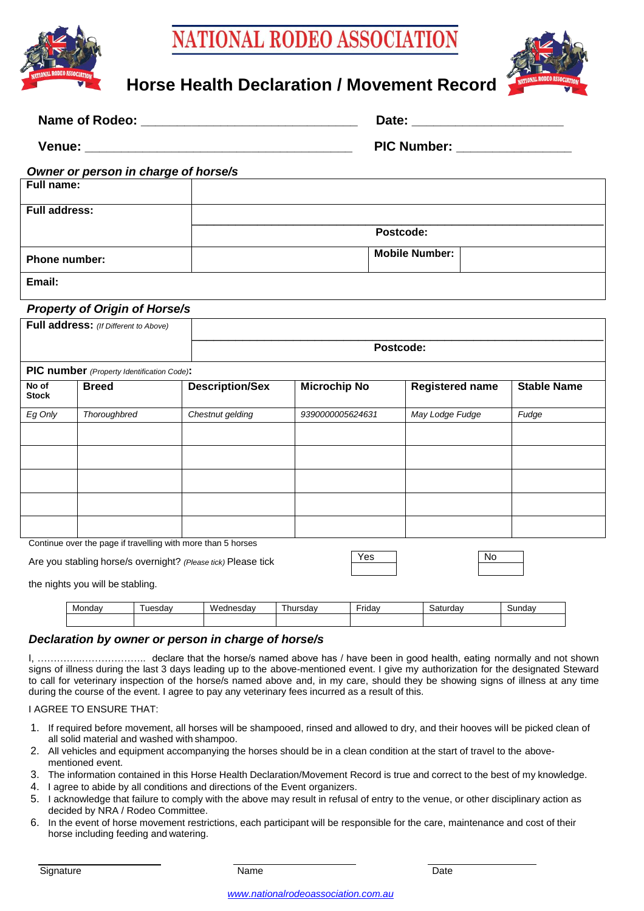

# ATIONAL RODEO ASSOCIATIO



# **Horse Health Declaration / Movement Record**

| <b>Name of Rodeo:</b> | Date:              |
|-----------------------|--------------------|
| Venue:                | <b>PIC Number:</b> |

#### *Owner or person in charge of horse/s*

| Full name:           |                       |  |  |  |
|----------------------|-----------------------|--|--|--|
| <b>Full address:</b> |                       |  |  |  |
|                      | Postcode:             |  |  |  |
| <b>Phone number:</b> | <b>Mobile Number:</b> |  |  |  |
| Email:               |                       |  |  |  |

## *Property of Origin of Horse/s*

| . .                                   |           |
|---------------------------------------|-----------|
| Full address: (If Different to Above) |           |
|                                       | Postcode: |
|                                       |           |

| <b>PIC number</b> (Property Identification Code):            |              |                        |                     |                        |                    |  |  |
|--------------------------------------------------------------|--------------|------------------------|---------------------|------------------------|--------------------|--|--|
| No of<br><b>Stock</b>                                        | <b>Breed</b> | <b>Description/Sex</b> | <b>Microchip No</b> | <b>Registered name</b> | <b>Stable Name</b> |  |  |
| Eg Only                                                      | Thoroughbred | Chestnut gelding       | 9390000005624631    | May Lodge Fudge        | Fudge              |  |  |
|                                                              |              |                        |                     |                        |                    |  |  |
|                                                              |              |                        |                     |                        |                    |  |  |
|                                                              |              |                        |                     |                        |                    |  |  |
|                                                              |              |                        |                     |                        |                    |  |  |
|                                                              |              |                        |                     |                        |                    |  |  |
| Continue over the nage if travelling with more than E heroes |              |                        |                     |                        |                    |  |  |

itinue over the page if travelling with more than 5 horses

Are you stabling horse/s overnight? *(Please tick)* Please tick

the nights you will be stabling.

| Monday | ١M<br>----<br>sud | -<br>١u٥ | $ \cdot$<br>∙rıdav | ~ | าdav<br>יי |
|--------|-------------------|----------|--------------------|---|------------|
|        |                   |          |                    |   |            |

## *Declaration by owner or person in charge of horse/s*

I, …………..……………….. declare that the horse/s named above has / have been in good health, eating normally and not shown signs of illness during the last 3 days leading up to the above-mentioned event. I give my authorization for the designated Steward to call for veterinary inspection of the horse/s named above and, in my care, should they be showing signs of illness at any time during the course of the event. I agree to pay any veterinary fees incurred as a result of this.

#### I AGREE TO ENSURE THAT:

- 1. If required before movement, all horses will be shampooed, rinsed and allowed to dry, and their hooves will be picked clean of all solid material and washed with shampoo.
- 2. All vehicles and equipment accompanying the horses should be in a clean condition at the start of travel to the abovementioned event.
- 3. The information contained in this Horse Health Declaration/Movement Record is true and correct to the best of my knowledge.
- 4. I agree to abide by all conditions and directions of the Event organizers.
- 5. I acknowledge that failure to comply with the above may result in refusal of entry to the venue, or other disciplinary action as decided by NRA / Rodeo Committee.
- 6. In the event of horse movement restrictions, each participant will be responsible for the care, maintenance and cost of their horse including feeding and watering.

*[www.nationalrodeoassociation.com.au](http://www.nationalrodeoassociation.com.au/)*

Yes | No